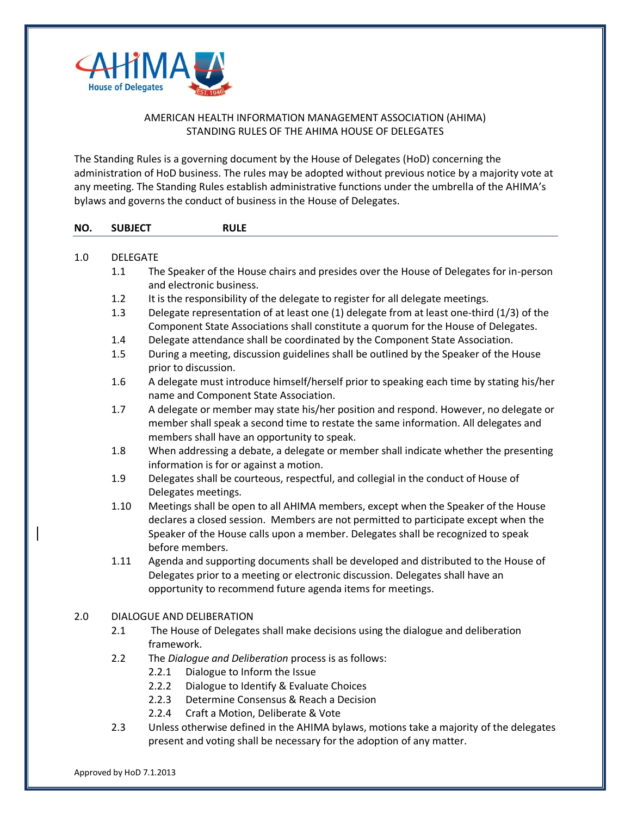

## AMERICAN HEALTH INFORMATION MANAGEMENT ASSOCIATION (AHIMA) STANDING RULES OF THE AHIMA HOUSE OF DELEGATES

The Standing Rules is a governing document by the House of Delegates (HoD) concerning the administration of HoD business. The rules may be adopted without previous notice by a majority vote at any meeting. The Standing Rules establish administrative functions under the umbrella of the AHIMA's bylaws and governs the conduct of business in the House of Delegates.

| NO. | <b>SUBJECT</b>  | <b>RULE</b>                                                                                                                                                                                                                                                                     |  |
|-----|-----------------|---------------------------------------------------------------------------------------------------------------------------------------------------------------------------------------------------------------------------------------------------------------------------------|--|
| 1.0 | <b>DELEGATE</b> |                                                                                                                                                                                                                                                                                 |  |
|     | 1.1             | The Speaker of the House chairs and presides over the House of Delegates for in-person<br>and electronic business.                                                                                                                                                              |  |
|     | 1.2             | It is the responsibility of the delegate to register for all delegate meetings.                                                                                                                                                                                                 |  |
|     | 1.3             | Delegate representation of at least one (1) delegate from at least one-third (1/3) of the<br>Component State Associations shall constitute a quorum for the House of Delegates.                                                                                                 |  |
|     | 1.4             | Delegate attendance shall be coordinated by the Component State Association.                                                                                                                                                                                                    |  |
|     | 1.5             | During a meeting, discussion guidelines shall be outlined by the Speaker of the House<br>prior to discussion.                                                                                                                                                                   |  |
|     | 1.6             | A delegate must introduce himself/herself prior to speaking each time by stating his/her<br>name and Component State Association.                                                                                                                                               |  |
|     | 1.7             | A delegate or member may state his/her position and respond. However, no delegate or<br>member shall speak a second time to restate the same information. All delegates and<br>members shall have an opportunity to speak.                                                      |  |
|     | 1.8             | When addressing a debate, a delegate or member shall indicate whether the presenting<br>information is for or against a motion.                                                                                                                                                 |  |
|     | 1.9             | Delegates shall be courteous, respectful, and collegial in the conduct of House of<br>Delegates meetings.                                                                                                                                                                       |  |
|     | 1.10            | Meetings shall be open to all AHIMA members, except when the Speaker of the House<br>declares a closed session. Members are not permitted to participate except when the<br>Speaker of the House calls upon a member. Delegates shall be recognized to speak<br>before members. |  |
|     | 1.11            | Agenda and supporting documents shall be developed and distributed to the House of<br>Delegates prior to a meeting or electronic discussion. Delegates shall have an<br>opportunity to recommend future agenda items for meetings.                                              |  |
| 2.0 |                 | <b>DIALOGUE AND DELIBERATION</b>                                                                                                                                                                                                                                                |  |
|     | 2.1             | The House of Delegates shall make decisions using the dialogue and deliberation<br>framework.                                                                                                                                                                                   |  |
|     | 2.2             | The Dialogue and Deliberation process is as follows:<br>Dialogue to Inform the Issue<br>2.2.1<br>2.2.2<br>Dialogue to Identify & Evaluate Choices<br>Determine Consensus & Reach a Decision<br>2.2.3<br>2.2.4<br>Craft a Motion, Deliberate & Vote                              |  |
|     | 2.3             | Unless otherwise defined in the AHIMA bylaws, motions take a majority of the delegates<br>present and voting shall be necessary for the adoption of any matter.                                                                                                                 |  |